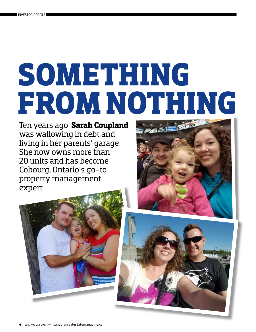# **SOMETHING FROM NOTHING**

Ten years ago, **Sarah Coupland**  was wallowing in debt and living in her parents' garage. She now owns more than 20 units and has become Cobourg, Ontario's go-to property management expert





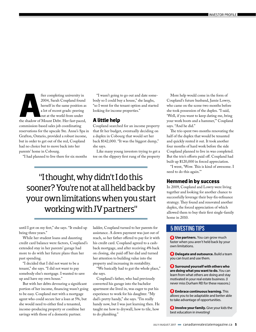For completing university in<br>
2004, Sarah Coupland found<br>
herself in the same position as<br>
a lot of recent grads: peering<br>
out at the world from under<br>
the shadow of Mount Debt. Her fast-paced, 2004, Sarah Coupland found herself in the same position as a lot of recent grads: peering out at the world from under commission-based sales job coordinating reservations for the upscale Ste. Anne's Spa in Grafton, Ontario, provided a robust income, but in order to get out of the red, Coupland had no choice but to move back into her parents' home in Cobourg.

"I had planned to live there for six months

"I wasn't going to go out and date somebody so I could buy a house," she laughs, "so I went for the tenant option and started looking for income properties."

### **A little help**

Coupland searched for an income property that fit her budget, eventually deciding on a duplex in Cobourg that would set her back \$142,000. "It was the biggest dump," she says.

Like many young investors trying to get a toe on the slippery first rung of the property

"I thought, why didn't I do this sooner? You're not at all held back by your own limitations when you start working with JV partners"

until I got on my feet," she says. "It ended up being three years."

While her student loans and daunting credit card balance were factors, Coupland's extended stay in her parents' garage had more to do with her future plans than her past spending.

"I decided that I did not want to be a tenant," she says. "I did not want to pay somebody else's mortgage. I wanted to save up and have my own house."

But with her debts devouring a significant portion of her income, financing wasn't going to be easy. Coupland met with a mortgage agent who could secure her a loan at 5%, but she would need to either find a tenanted, income-producing property or combine her savings with those of a domestic partner.

ladder, Coupland turned to her parents for assistance. A down payment was just out of reach, so her father offered to pay for it with his credit card. Coupland agreed to a cashback mortgage, and after receiving 4% back on closing, she paid off her dad and turned her attention to building value into the property and increasing its rentability.

"We basically had to gut the whole place," she says.

Coupland's father, who had previously converted his garage into the bachelor apartment she lived in, was eager to put his experience to work for his daughter. "My dad's pretty handy," she says. "I'm really handy now, but I was just learning then. He taught me how to drywall, how to tile, how to do plumbing."

More help would come in the form of Coupland's future husband, Jamie Lowry, who came on the scene two months before she took possession of the duplex. "I said, 'Well, if you want to keep dating me, bring your work boots and a hammer,'" Coupland says. "And he did."

The trio spent two months renovating the half of the duplex that would be tenanted and quickly rented it out. It took another four months of hard work before the side Coupland planned to live in was completed. But the trio's efforts paid off. Coupland had built up \$120,000 in forced appreciation.

"I went, 'Wow. This is kind of awesome. I need to do this again.'"

### **Hemmed in by success**

In 2009, Coupland and Lowry were living together and looking for another chance to successfully leverage their buy-fix-refinance strategy. They found and renovated another duplex, the forced appreciation of which allowed them to buy their first single-family home in 2010.

# 5 INVESTING TIPS

**Use partners.** You can grow much faster when you aren't held back by your own limitations.

**Delegate and outsource.** Build a team you can trust and use them.

**Surround yourself with others who are doing what you want to do.** You can learn from what others are doing and stay motivated in your real estate business. (I never miss Durham REI for these reasons.)

**Embrace continuous learning.** This allows you to be adaptable and better able to take advantage of opportunities.

*Involve your family. Give your kids the* best education in investing!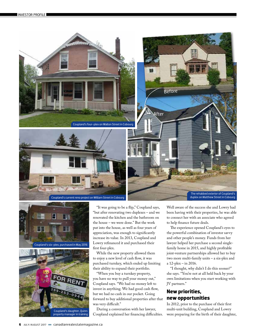





"It was going to be a flip," Coupland says, "but after renovating two duplexes – and we renovated the kitchen and the bathroom on the house – we were done." But the work put into the house, as well as four years of appreciation, was enough to significantly increase its value. In 2013, Coupland and Lowry refinanced it and purchased their first four-plex.

While the new property allowed them to enjoy a new level of cash flow, it was purchased turnkey, which ended up limiting their ability to expand their portfolio.

"When you buy a turnkey property, you have no way to pull your money out," Coupland says. "We had no money left to invest in anything. We had good cash flow, but we had no cash in our pocket. Going forward to buy additional properties after that was very difficult."

During a conversation with her lawyer, Coupland explained her financing difficulties. Well aware of the success she and Lowry had been having with their properties, he was able to connect her with an associate who agreed to help finance future deals.

The experience opened Coupland's eyes to the powerful combination of investor savvy and other people's money. Funds from her lawyer helped her purchase a second singlefamily home in 2015, and highly profitable joint-venture partnerships allowed her to buy two more multi-family units – a six-plex and a 12-plex – in 2016.

"I thought, why didn't I do this sooner?" she says. "You're not at all held back by your own limitations when you start working with JV partners."

# **New priorities, new opportunities**

In 2012, prior to the purchase of their first multi-unit building, Coupland and Lowry were preparing for the birth of their daughter,